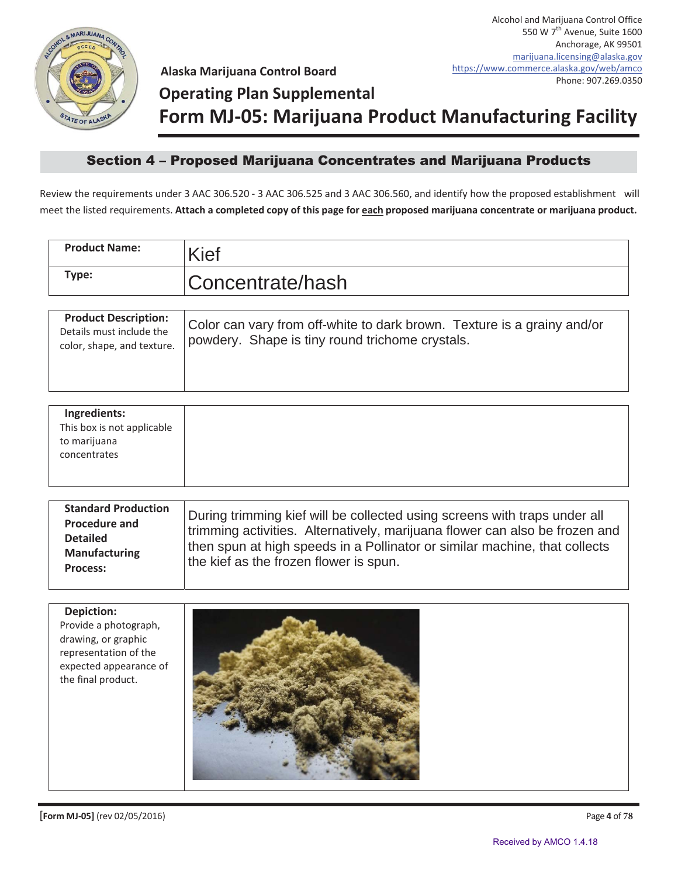

**Alaska Marijuana Control Board**

## **Operating Plan Supplemental**

**Form MJ-05: Marijuana Product Manufacturing Facility**

## Section 4 - Proposed Marijuana Concentrates and Marijuana Products

Review the requirements under 3 AAC 306.520 - 3 AAC 306.525 and 3 AAC 306.560, and identify how the proposed establishment will meet the listed requirements. **Attach a completed copy of this page for each proposed marijuana concentrate or marijuana product.**

| <b>Product Name:</b>                                                                                                                       | <b>Kief</b>                                                                                                                                                                                                                                                                      |
|--------------------------------------------------------------------------------------------------------------------------------------------|----------------------------------------------------------------------------------------------------------------------------------------------------------------------------------------------------------------------------------------------------------------------------------|
| Type:                                                                                                                                      | Concentrate/hash                                                                                                                                                                                                                                                                 |
| <b>Product Description:</b><br>Details must include the<br>color, shape, and texture.                                                      | Color can vary from off-white to dark brown. Texture is a grainy and/or<br>powdery. Shape is tiny round trichome crystals.                                                                                                                                                       |
| Ingredients:<br>This box is not applicable<br>to marijuana<br>concentrates                                                                 |                                                                                                                                                                                                                                                                                  |
| <b>Standard Production</b><br><b>Procedure and</b><br><b>Detailed</b><br><b>Manufacturing</b><br>Process:                                  | During trimming kief will be collected using screens with traps under all<br>trimming activities. Alternatively, marijuana flower can also be frozen and<br>then spun at high speeds in a Pollinator or similar machine, that collects<br>the kief as the frozen flower is spun. |
| <b>Depiction:</b><br>Provide a photograph,<br>drawing, or graphic<br>representation of the<br>expected appearance of<br>the final product. |                                                                                                                                                                                                                                                                                  |